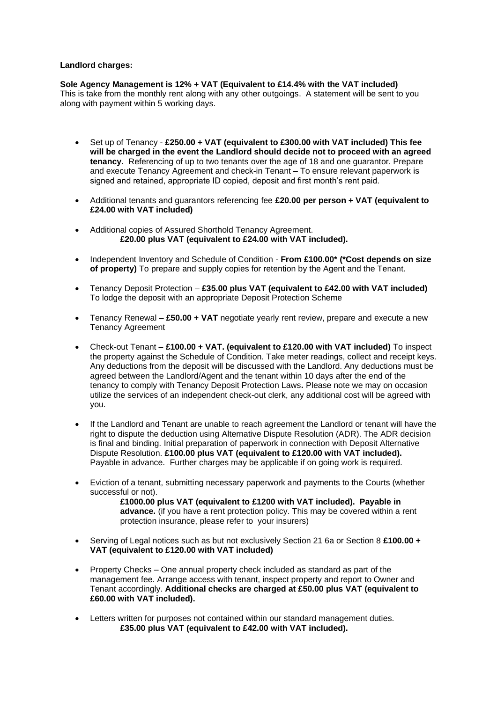## **Landlord charges:**

**Sole Agency Management is 12% + VAT (Equivalent to £14.4% with the VAT included)** This is take from the monthly rent along with any other outgoings. A statement will be sent to you along with payment within 5 working days.

- Set up of Tenancy **£250.00 + VAT (equivalent to £300.00 with VAT included) This fee will be charged in the event the Landlord should decide not to proceed with an agreed tenancy.** Referencing of up to two tenants over the age of 18 and one guarantor. Prepare and execute Tenancy Agreement and check-in Tenant – To ensure relevant paperwork is signed and retained, appropriate ID copied, deposit and first month's rent paid.
- Additional tenants and guarantors referencing fee **£20.00 per person + VAT (equivalent to £24.00 with VAT included)**
- Additional copies of Assured Shorthold Tenancy Agreement. **£20.00 plus VAT (equivalent to £24.00 with VAT included).**
- Independent Inventory and Schedule of Condition **From £100.00\* (\*Cost depends on size of property)** To prepare and supply copies for retention by the Agent and the Tenant.
- Tenancy Deposit Protection **£35.00 plus VAT (equivalent to £42.00 with VAT included)**  To lodge the deposit with an appropriate Deposit Protection Scheme
- Tenancy Renewal **£50.00 + VAT** negotiate yearly rent review, prepare and execute a new Tenancy Agreement
- Check-out Tenant **£100.00 + VAT. (equivalent to £120.00 with VAT included)** To inspect the property against the Schedule of Condition. Take meter readings, collect and receipt keys. Any deductions from the deposit will be discussed with the Landlord. Any deductions must be agreed between the Landlord/Agent and the tenant within 10 days after the end of the tenancy to comply with Tenancy Deposit Protection Laws**.** Please note we may on occasion utilize the services of an independent check-out clerk, any additional cost will be agreed with you.
- If the Landlord and Tenant are unable to reach agreement the Landlord or tenant will have the right to dispute the deduction using Alternative Dispute Resolution (ADR). The ADR decision is final and binding. Initial preparation of paperwork in connection with Deposit Alternative Dispute Resolution. **£100.00 plus VAT (equivalent to £120.00 with VAT included).** Payable in advance. Further charges may be applicable if on going work is required.
- Eviction of a tenant, submitting necessary paperwork and payments to the Courts (whether successful or not). **£1000.00 plus VAT (equivalent to £1200 with VAT included). Payable in** 
	- **advance.** (if you have a rent protection policy. This may be covered within a rent protection insurance, please refer to your insurers)
- Serving of Legal notices such as but not exclusively Section 21 6a or Section 8 **£100.00 + VAT (equivalent to £120.00 with VAT included)**
- Property Checks One annual property check included as standard as part of the management fee. Arrange access with tenant, inspect property and report to Owner and Tenant accordingly. **Additional checks are charged at £50.00 plus VAT (equivalent to £60.00 with VAT included).**
- Letters written for purposes not contained within our standard management duties. **£35.00 plus VAT (equivalent to £42.00 with VAT included).**